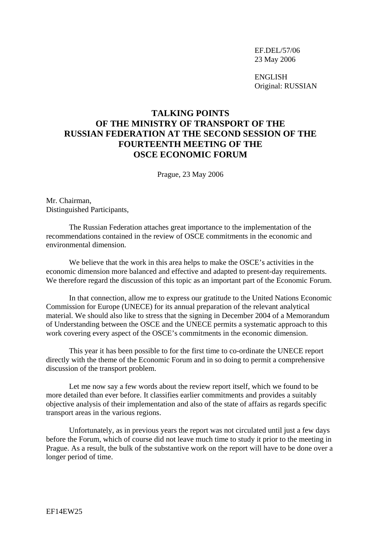EF.DEL/57/06 23 May 2006

 ENGLISH Original: RUSSIAN

## **TALKING POINTS OF THE MINISTRY OF TRANSPORT OF THE RUSSIAN FEDERATION AT THE SECOND SESSION OF THE FOURTEENTH MEETING OF THE OSCE ECONOMIC FORUM**

Prague, 23 May 2006

Mr. Chairman, Distinguished Participants,

 The Russian Federation attaches great importance to the implementation of the recommendations contained in the review of OSCE commitments in the economic and environmental dimension.

 We believe that the work in this area helps to make the OSCE's activities in the economic dimension more balanced and effective and adapted to present-day requirements. We therefore regard the discussion of this topic as an important part of the Economic Forum.

 In that connection, allow me to express our gratitude to the United Nations Economic Commission for Europe (UNECE) for its annual preparation of the relevant analytical material. We should also like to stress that the signing in December 2004 of a Memorandum of Understanding between the OSCE and the UNECE permits a systematic approach to this work covering every aspect of the OSCE's commitments in the economic dimension.

 This year it has been possible to for the first time to co-ordinate the UNECE report directly with the theme of the Economic Forum and in so doing to permit a comprehensive discussion of the transport problem.

 Let me now say a few words about the review report itself, which we found to be more detailed than ever before. It classifies earlier commitments and provides a suitably objective analysis of their implementation and also of the state of affairs as regards specific transport areas in the various regions.

 Unfortunately, as in previous years the report was not circulated until just a few days before the Forum, which of course did not leave much time to study it prior to the meeting in Prague. As a result, the bulk of the substantive work on the report will have to be done over a longer period of time.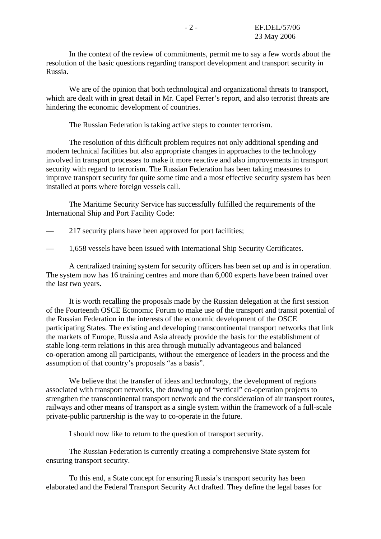In the context of the review of commitments, permit me to say a few words about the resolution of the basic questions regarding transport development and transport security in Russia.

 We are of the opinion that both technological and organizational threats to transport, which are dealt with in great detail in Mr. Capel Ferrer's report, and also terrorist threats are hindering the economic development of countries.

The Russian Federation is taking active steps to counter terrorism.

 The resolution of this difficult problem requires not only additional spending and modern technical facilities but also appropriate changes in approaches to the technology involved in transport processes to make it more reactive and also improvements in transport security with regard to terrorism. The Russian Federation has been taking measures to improve transport security for quite some time and a most effective security system has been installed at ports where foreign vessels call.

 The Maritime Security Service has successfully fulfilled the requirements of the International Ship and Port Facility Code:

— 217 security plans have been approved for port facilities;

— 1,658 vessels have been issued with International Ship Security Certificates.

 A centralized training system for security officers has been set up and is in operation. The system now has 16 training centres and more than 6,000 experts have been trained over the last two years.

 It is worth recalling the proposals made by the Russian delegation at the first session of the Fourteenth OSCE Economic Forum to make use of the transport and transit potential of the Russian Federation in the interests of the economic development of the OSCE participating States. The existing and developing transcontinental transport networks that link the markets of Europe, Russia and Asia already provide the basis for the establishment of stable long-term relations in this area through mutually advantageous and balanced co-operation among all participants, without the emergence of leaders in the process and the assumption of that country's proposals "as a basis".

 We believe that the transfer of ideas and technology, the development of regions associated with transport networks, the drawing up of "vertical" co-operation projects to strengthen the transcontinental transport network and the consideration of air transport routes, railways and other means of transport as a single system within the framework of a full-scale private-public partnership is the way to co-operate in the future.

I should now like to return to the question of transport security.

 The Russian Federation is currently creating a comprehensive State system for ensuring transport security.

 To this end, a State concept for ensuring Russia's transport security has been elaborated and the Federal Transport Security Act drafted. They define the legal bases for